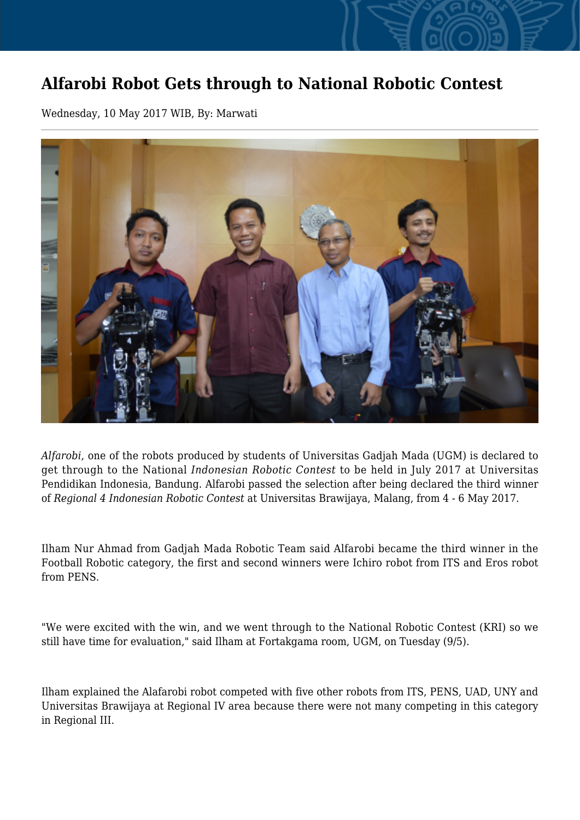## **Alfarobi Robot Gets through to National Robotic Contest**

Wednesday, 10 May 2017 WIB, By: Marwati



*Alfarobi*, one of the robots produced by students of Universitas Gadjah Mada (UGM) is declared to get through to the National *Indonesian Robotic Contest* to be held in July 2017 at Universitas Pendidikan Indonesia, Bandung. Alfarobi passed the selection after being declared the third winner of *Regional 4 Indonesian Robotic Contest* at Universitas Brawijaya, Malang, from 4 - 6 May 2017.

Ilham Nur Ahmad from Gadjah Mada Robotic Team said Alfarobi became the third winner in the Football Robotic category, the first and second winners were Ichiro robot from ITS and Eros robot from PENS.

"We were excited with the win, and we went through to the National Robotic Contest (KRI) so we still have time for evaluation," said Ilham at Fortakgama room, UGM, on Tuesday (9/5).

Ilham explained the Alafarobi robot competed with five other robots from ITS, PENS, UAD, UNY and Universitas Brawijaya at Regional IV area because there were not many competing in this category in Regional III.